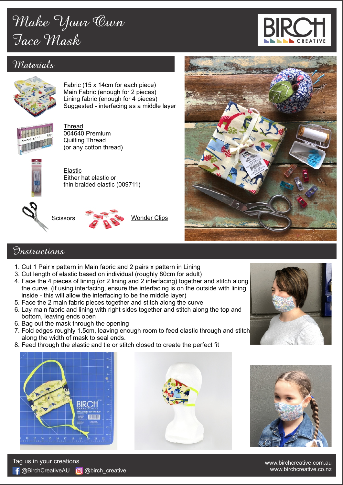## *Make Your Own Face Mask*

## *Materials*



Fabric (15 x 14cm for each piece) Main Fabric (enough for 2 pieces) Lining fabric (enough for 4 pieces) Suggested - interfacing as a middle layer



Thread 004640 Premium Quilting Thread (or any cotton thread)



Elastic Either hat elastic or thin braided elastic (009711)





Wonder Clips



## *Instructions*

- 1. Cut 1 Pair x pattern in Main fabric and 2 pairs x pattern in Lining
- 3. Cut length of elastic based on individual (roughly 80cm for adult)
- 4. Face the 4 pieces of lining (or 2 lining and 2 interfacing) together and stitch along the curve. (if using interfacing, ensure the interfacing is on the outside with lining inside - this will allow the interfacing to be the middle layer)
- 5. Face the 2 main fabric pieces together and stitch along the curve
- 6. Lay main fabric and lining with right sides together and stitch along the top and bottom, leaving ends open
- 6. Bag out the mask through the opening
- 7. Fold edges roughly 1.5cm, leaving enough room to feed elastic through and stitch along the width of mask to seal ends.
- 8. Feed through the elastic and tie or stitch closed to create the perfect fit



← @BirchCreativeAU 0 @birch\_creative

Tag us in your creations







www.birchcreative.com.au www.birchcreative.co.nz